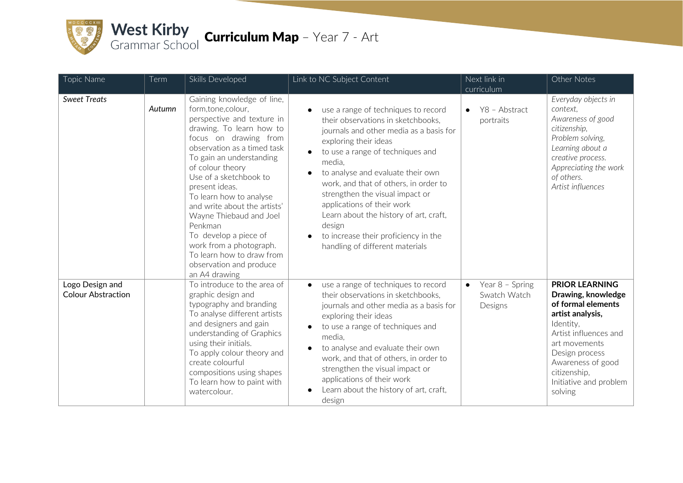

| Topic Name                                   | Term   | Skills Developed                                                                                                                                                                                                                                                                                                                                                                                                                                                                            | Link to NC Subject Content                                                                                                                                                                                                                                                                                                                                                                                                                                                                          | Next link in                                            | Other Notes                                                                                                                                                                                                                              |
|----------------------------------------------|--------|---------------------------------------------------------------------------------------------------------------------------------------------------------------------------------------------------------------------------------------------------------------------------------------------------------------------------------------------------------------------------------------------------------------------------------------------------------------------------------------------|-----------------------------------------------------------------------------------------------------------------------------------------------------------------------------------------------------------------------------------------------------------------------------------------------------------------------------------------------------------------------------------------------------------------------------------------------------------------------------------------------------|---------------------------------------------------------|------------------------------------------------------------------------------------------------------------------------------------------------------------------------------------------------------------------------------------------|
|                                              |        |                                                                                                                                                                                                                                                                                                                                                                                                                                                                                             |                                                                                                                                                                                                                                                                                                                                                                                                                                                                                                     | curriculum                                              |                                                                                                                                                                                                                                          |
| <b>Sweet Treats</b>                          | Autumn | Gaining knowledge of line,<br>form,tone,colour,<br>perspective and texture in<br>drawing. To learn how to<br>focus on drawing from<br>observation as a timed task<br>To gain an understanding<br>of colour theory<br>Use of a sketchbook to<br>present ideas.<br>To learn how to analyse<br>and write about the artists'<br>Wayne Thiebaud and Joel<br>Penkman<br>To develop a piece of<br>work from a photograph.<br>To learn how to draw from<br>observation and produce<br>an A4 drawing | use a range of techniques to record<br>their observations in sketchbooks,<br>journals and other media as a basis for<br>exploring their ideas<br>to use a range of techniques and<br>$\bullet$<br>media.<br>to analyse and evaluate their own<br>$\bullet$<br>work, and that of others, in order to<br>strengthen the visual impact or<br>applications of their work<br>Learn about the history of art, craft,<br>design<br>to increase their proficiency in the<br>handling of different materials | Y8 - Abstract<br>$\bullet$<br>portraits                 | Everyday objects in<br>context,<br>Awareness of good<br>citizenship,<br>Problem solving,<br>Learning about a<br>creative process.<br>Appreciating the work<br>of others.<br>Artist influences                                            |
| Logo Design and<br><b>Colour Abstraction</b> |        | To introduce to the area of<br>graphic design and<br>typography and branding<br>To analyse different artists<br>and designers and gain<br>understanding of Graphics<br>using their initials.<br>To apply colour theory and<br>create colourful<br>compositions using shapes<br>To learn how to paint with<br>watercolour.                                                                                                                                                                   | use a range of techniques to record<br>$\bullet$<br>their observations in sketchbooks,<br>journals and other media as a basis for<br>exploring their ideas<br>to use a range of techniques and<br>$\bullet$<br>media.<br>to analyse and evaluate their own<br>$\bullet$<br>work, and that of others, in order to<br>strengthen the visual impact or<br>applications of their work<br>Learn about the history of art, craft,<br>design                                                               | Year 8 - Spring<br>$\bullet$<br>Swatch Watch<br>Designs | <b>PRIOR LEARNING</b><br>Drawing, knowledge<br>of formal elements<br>artist analysis,<br>Identity.<br>Artist influences and<br>art movements<br>Design process<br>Awareness of good<br>citizenship,<br>Initiative and problem<br>solving |